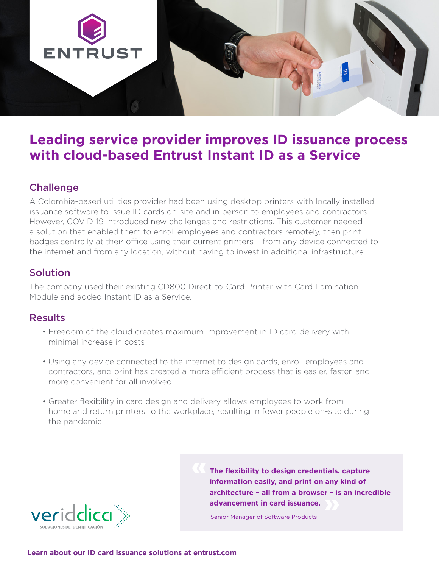

## **Leading service provider improves ID issuance process with cloud-based Entrust Instant ID as a Service**

## **Challenge**

A Colombia-based utilities provider had been using desktop printers with locally installed issuance software to issue ID cards on-site and in person to employees and contractors. However, COVID-19 introduced new challenges and restrictions. This customer needed a solution that enabled them to enroll employees and contractors remotely, then print badges centrally at their office using their current printers – from any device connected to the internet and from any location, without having to invest in additional infrastructure.

## Solution

The company used their existing CD800 Direct-to-Card Printer with Card Lamination Module and added Instant ID as a Service.

### **Results**

- Freedom of the cloud creates maximum improvement in ID card delivery with minimal increase in costs
- Using any device connected to the internet to design cards, enroll employees and contractors, and print has created a more efficient process that is easier, faster, and more convenient for all involved
- Greater flexibility in card design and delivery allows employees to work from home and return printers to the workplace, resulting in fewer people on-site during the pandemic



**The flexibility to design credentials, capture information easily, and print on any kind of architecture – all from a browser – is an incredible advancement in card issuance.** 

Senior Manager of Software Products